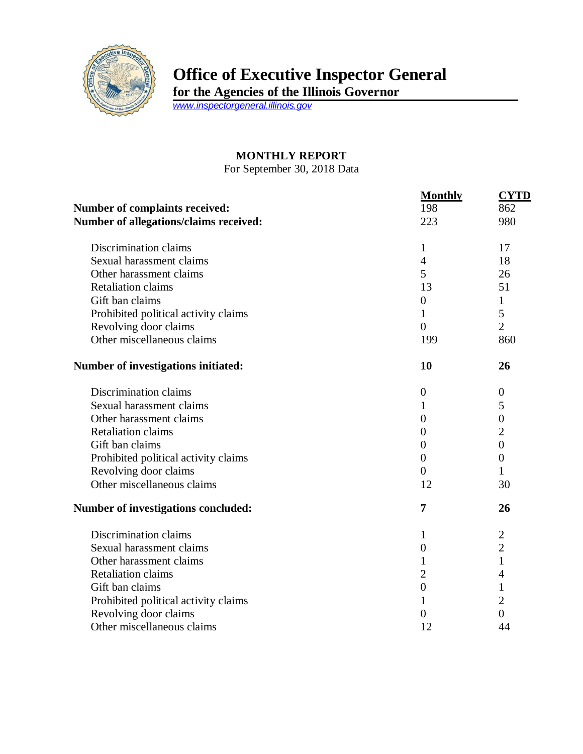

## **Office of Executive Inspector General**

**for the Agencies of the Illinois Governor**

*[www.inspectorgeneral.illinois.gov](http://www.inspectorgeneral.illinois.gov/)*

## **MONTHLY REPORT**

For September 30, 2018 Data

|                                                                                 | <b>Monthly</b>   | <b>CYTD</b>      |
|---------------------------------------------------------------------------------|------------------|------------------|
| <b>Number of complaints received:</b><br>Number of allegations/claims received: | 198<br>223       | 862<br>980       |
|                                                                                 |                  |                  |
| Sexual harassment claims                                                        | $\overline{4}$   | 18               |
| Other harassment claims                                                         | 5                | 26               |
| <b>Retaliation claims</b>                                                       | 13               | 51               |
| Gift ban claims                                                                 | $\boldsymbol{0}$ | $\mathbf{1}$     |
| Prohibited political activity claims                                            | $\mathbf{1}$     | 5                |
| Revolving door claims                                                           | $\overline{0}$   | $\overline{2}$   |
| Other miscellaneous claims                                                      | 199              | 860              |
| Number of investigations initiated:                                             | 10               | 26               |
| Discrimination claims                                                           | $\theta$         | $\theta$         |
| Sexual harassment claims                                                        | 1                | 5                |
| Other harassment claims                                                         | $\overline{0}$   | $\boldsymbol{0}$ |
| <b>Retaliation claims</b>                                                       | $\boldsymbol{0}$ | $\overline{2}$   |
| Gift ban claims                                                                 | $\overline{0}$   | $\boldsymbol{0}$ |
| Prohibited political activity claims                                            | $\overline{0}$   | $\overline{0}$   |
| Revolving door claims                                                           | $\Omega$         | 1                |
| Other miscellaneous claims                                                      | 12               | 30               |
| <b>Number of investigations concluded:</b>                                      | 7                | 26               |
| Discrimination claims                                                           | 1                | $\overline{2}$   |
| Sexual harassment claims                                                        | $\boldsymbol{0}$ | $\overline{2}$   |
| Other harassment claims                                                         | 1                | $\mathbf{1}$     |
| <b>Retaliation claims</b>                                                       | $\overline{2}$   | 4                |
| Gift ban claims                                                                 | $\boldsymbol{0}$ | $\mathbf{1}$     |
| Prohibited political activity claims                                            | 1                | $\overline{2}$   |
| Revolving door claims                                                           | $\overline{0}$   | $\overline{0}$   |
| Other miscellaneous claims                                                      | 12               | 44               |